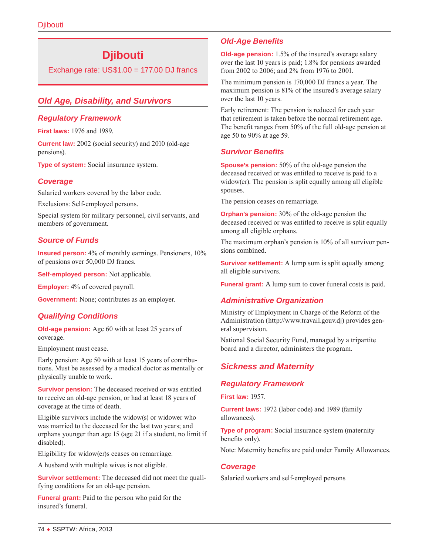# **Djibouti**

Exchange rate:  $US$1.00 = 177.00$  DJ francs

# *Old Age, Disability, and Survivors*

### *Regulatory Framework*

**First laws:** 1976 and 1989.

**Current law:** 2002 (social security) and 2010 (old-age pensions).

**Type of system:** Social insurance system.

# *Coverage*

Salaried workers covered by the labor code.

Exclusions: Self-employed persons.

Special system for military personnel, civil servants, and members of government.

# *Source of Funds*

**Insured person:** 4% of monthly earnings. Pensioners, 10% of pensions over 50,000 DJ francs.

**Self-employed person:** Not applicable.

**Employer:** 4% of covered payroll.

**Government:** None; contributes as an employer.

# *Qualifying Conditions*

**Old-age pension:** Age 60 with at least 25 years of coverage.

Employment must cease.

Early pension: Age 50 with at least 15 years of contributions. Must be assessed by a medical doctor as mentally or physically unable to work.

**Survivor pension:** The deceased received or was entitled to receive an old-age pension, or had at least 18 years of coverage at the time of death.

Eligible survivors include the widow(s) or widower who was married to the deceased for the last two years; and orphans younger than age 15 (age 21 if a student, no limit if disabled).

Eligibility for widow(er)s ceases on remarriage.

A husband with multiple wives is not eligible.

**Survivor settlement:** The deceased did not meet the qualifying conditions for an old-age pension.

**Funeral grant:** Paid to the person who paid for the insured's funeral.

# *Old-Age Benefits*

**Old-age pension:** 1.5% of the insured's average salary over the last 10 years is paid; 1.8% for pensions awarded from 2002 to 2006; and 2% from 1976 to 2001.

The minimum pension is 170,000 DJ francs a year. The maximum pension is 81% of the insured's average salary over the last 10 years.

Early retirement: The pension is reduced for each year that retirement is taken before the normal retirement age. The benefit ranges from 50% of the full old-age pension at age 50 to 90% at age 59.

# *Survivor Benefits*

**Spouse's pension:** 50% of the old-age pension the deceased received or was entitled to receive is paid to a widow(er). The pension is split equally among all eligible spouses.

The pension ceases on remarriage.

**Orphan's pension:** 30% of the old-age pension the deceased received or was entitled to receive is split equally among all eligible orphans.

The maximum orphan's pension is 10% of all survivor pensions combined.

**Survivor settlement:** A lump sum is split equally among all eligible survivors.

**Funeral grant:** A lump sum to cover funeral costs is paid.

# *Administrative Organization*

Ministry of Employment in Charge of the Reform of the Administration (<http://www.travail.gouv.dj>) provides general supervision.

National Social Security Fund, managed by a tripartite board and a director, administers the program.

# *Sickness and Maternity*

#### *Regulatory Framework*

**First law:** 1957.

**Current laws:** 1972 (labor code) and 1989 (family allowances).

**Type of program:** Social insurance system (maternity benefits only).

Note: Maternity benefits are paid under Family Allowances.

#### *Coverage*

Salaried workers and self-employed persons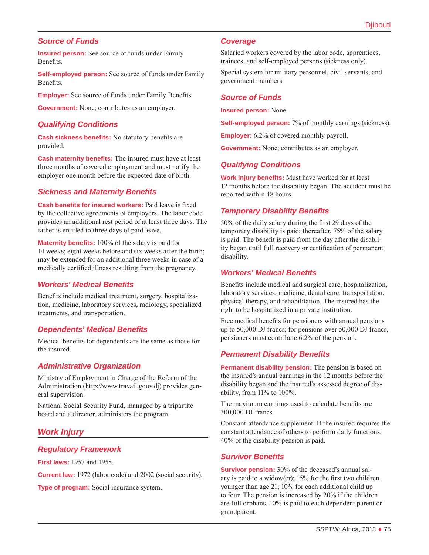# *Source of Funds*

**Insured person:** See source of funds under Family Benefits.

**Self-employed person:** See source of funds under Family Benefits.

**Employer:** See source of funds under Family Benefits.

**Government:** None; contributes as an employer.

#### *Qualifying Conditions*

**Cash sickness benefits:** No statutory benefits are provided.

**Cash maternity benefits:** The insured must have at least three months of covered employment and must notify the employer one month before the expected date of birth.

#### *Sickness and Maternity Benefits*

**Cash benefits for insured workers:** Paid leave is fixed by the collective agreements of employers. The labor code provides an additional rest period of at least three days. The father is entitled to three days of paid leave.

**Maternity benefits:** 100% of the salary is paid for 14 weeks; eight weeks before and six weeks after the birth; may be extended for an additional three weeks in case of a medically certified illness resulting from the pregnancy.

#### *Workers' Medical Benefits*

Benefits include medical treatment, surgery, hospitalization, medicine, laboratory services, radiology, specialized treatments, and transportation.

# *Dependents' Medical Benefits*

Medical benefits for dependents are the same as those for the insured.

# *Administrative Organization*

Ministry of Employment in Charge of the Reform of the Administration (<http://www.travail.gouv.dj>) provides general supervision.

National Social Security Fund, managed by a tripartite board and a director, administers the program.

# *Work Injury*

#### *Regulatory Framework*

**First laws:** 1957 and 1958.

**Current law:** 1972 (labor code) and 2002 (social security).

**Type of program:** Social insurance system.

#### *Coverage*

Salaried workers covered by the labor code, apprentices, trainees, and self-employed persons (sickness only).

Special system for military personnel, civil servants, and government members.

#### *Source of Funds*

**Insured person:** None.

**Self-employed person:** 7% of monthly earnings (sickness).

**Employer:** 6.2% of covered monthly payroll.

**Government:** None; contributes as an employer.

#### *Qualifying Conditions*

**Work injury benefits:** Must have worked for at least 12 months before the disability began. The accident must be reported within 48 hours.

# *Temporary Disability Benefits*

50% of the daily salary during the first 29 days of the temporary disability is paid; thereafter, 75% of the salary is paid. The benefit is paid from the day after the disability began until full recovery or certification of permanent disability.

#### *Workers' Medical Benefits*

Benefits include medical and surgical care, hospitalization, laboratory services, medicine, dental care, transportation, physical therapy, and rehabilitation. The insured has the right to be hospitalized in a private institution.

Free medical benefits for pensioners with annual pensions up to 50,000 DJ francs; for pensions over 50,000 DJ francs, pensioners must contribute 6.2% of the pension.

#### *Permanent Disability Benefits*

**Permanent disability pension:** The pension is based on the insured's annual earnings in the 12 months before the disability began and the insured's assessed degree of disability, from 11% to 100%.

The maximum earnings used to calculate benefits are 300,000 DJ francs.

Constant-attendance supplement: If the insured requires the constant attendance of others to perform daily functions, 40% of the disability pension is paid.

#### *Survivor Benefits*

**Survivor pension:** 30% of the deceased's annual salary is paid to a widow(er); 15% for the first two children younger than age 21; 10% for each additional child up to four. The pension is increased by 20% if the children are full orphans. 10% is paid to each dependent parent or grandparent.